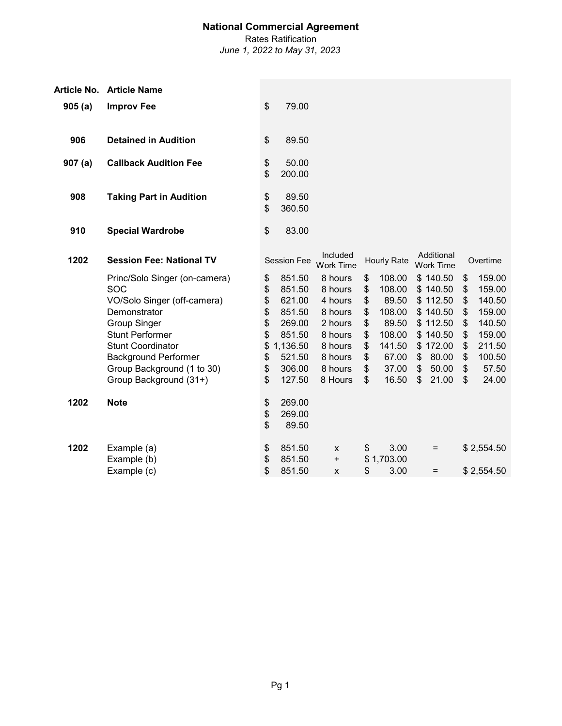Rates Ratification

|        | Article No. Article Name                                                                                                                                                                                                                                |                                                          |                                                                                                    |                                                                                                            |                                                          |                                                                                             |                |                                                                                                             |                                                          |                                                                                                |
|--------|---------------------------------------------------------------------------------------------------------------------------------------------------------------------------------------------------------------------------------------------------------|----------------------------------------------------------|----------------------------------------------------------------------------------------------------|------------------------------------------------------------------------------------------------------------|----------------------------------------------------------|---------------------------------------------------------------------------------------------|----------------|-------------------------------------------------------------------------------------------------------------|----------------------------------------------------------|------------------------------------------------------------------------------------------------|
| 905(a) | <b>Improv Fee</b>                                                                                                                                                                                                                                       | \$                                                       | 79.00                                                                                              |                                                                                                            |                                                          |                                                                                             |                |                                                                                                             |                                                          |                                                                                                |
| 906    | <b>Detained in Audition</b>                                                                                                                                                                                                                             | \$                                                       | 89.50                                                                                              |                                                                                                            |                                                          |                                                                                             |                |                                                                                                             |                                                          |                                                                                                |
| 907(a) | <b>Callback Audition Fee</b>                                                                                                                                                                                                                            | \$<br>\$                                                 | 50.00<br>200.00                                                                                    |                                                                                                            |                                                          |                                                                                             |                |                                                                                                             |                                                          |                                                                                                |
| 908    | <b>Taking Part in Audition</b>                                                                                                                                                                                                                          | \$<br>\$                                                 | 89.50<br>360.50                                                                                    |                                                                                                            |                                                          |                                                                                             |                |                                                                                                             |                                                          |                                                                                                |
| 910    | <b>Special Wardrobe</b>                                                                                                                                                                                                                                 | \$                                                       | 83.00                                                                                              |                                                                                                            |                                                          |                                                                                             |                |                                                                                                             |                                                          |                                                                                                |
| 1202   | <b>Session Fee: National TV</b>                                                                                                                                                                                                                         |                                                          | <b>Session Fee</b>                                                                                 | Included<br><b>Work Time</b>                                                                               |                                                          | <b>Hourly Rate</b>                                                                          |                | Additional<br><b>Work Time</b>                                                                              |                                                          | Overtime                                                                                       |
|        | Princ/Solo Singer (on-camera)<br>SOC<br>VO/Solo Singer (off-camera)<br>Demonstrator<br><b>Group Singer</b><br><b>Stunt Performer</b><br><b>Stunt Coordinator</b><br><b>Background Performer</b><br>Group Background (1 to 30)<br>Group Background (31+) | \$<br>\$<br>\$<br>\$<br>\$<br>\$<br>\$<br>\$<br>\$<br>\$ | 851.50<br>851.50<br>621.00<br>851.50<br>269.00<br>851.50<br>1,136.50<br>521.50<br>306.00<br>127.50 | 8 hours<br>8 hours<br>4 hours<br>8 hours<br>2 hours<br>8 hours<br>8 hours<br>8 hours<br>8 hours<br>8 Hours | \$<br>\$<br>\$<br>\$<br>\$<br>\$<br>\$<br>\$<br>\$<br>\$ | 108.00<br>108.00<br>89.50<br>108.00<br>89.50<br>108.00<br>141.50<br>67.00<br>37.00<br>16.50 | \$<br>\$<br>\$ | \$140.50<br>\$140.50<br>\$112.50<br>\$140.50<br>\$112.50<br>\$140.50<br>\$172.00<br>80.00<br>50.00<br>21.00 | \$<br>\$<br>\$<br>\$<br>\$<br>\$<br>\$<br>\$<br>\$<br>\$ | 159.00<br>159.00<br>140.50<br>159.00<br>140.50<br>159.00<br>211.50<br>100.50<br>57.50<br>24.00 |
| 1202   | <b>Note</b>                                                                                                                                                                                                                                             | \$<br>\$<br>\$                                           | 269.00<br>269.00<br>89.50                                                                          |                                                                                                            |                                                          |                                                                                             |                |                                                                                                             |                                                          |                                                                                                |
| 1202   | Example (a)<br>Example (b)<br>Example (c)                                                                                                                                                                                                               | \$<br>\$<br>\$                                           | 851.50<br>851.50<br>851.50                                                                         | X<br>$\begin{array}{c} + \end{array}$<br>X                                                                 | \$<br>\$                                                 | 3.00<br>\$1,703.00<br>3.00                                                                  |                | $=$<br>$=$                                                                                                  |                                                          | \$2,554.50<br>\$2,554.50                                                                       |
|        |                                                                                                                                                                                                                                                         |                                                          |                                                                                                    |                                                                                                            |                                                          |                                                                                             |                |                                                                                                             |                                                          |                                                                                                |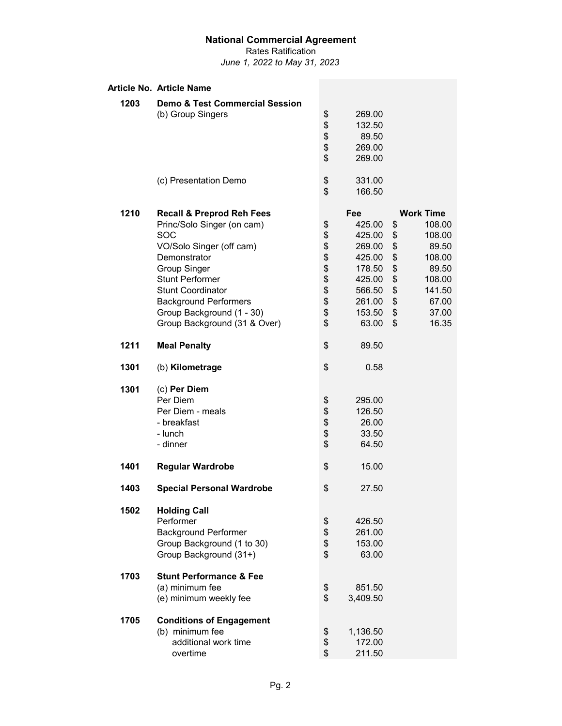Rates Ratification *June 1, 2022 to May 31, 2023*

|      | Article No. Article Name                  |      |          |                  |
|------|-------------------------------------------|------|----------|------------------|
| 1203 | <b>Demo &amp; Test Commercial Session</b> |      |          |                  |
|      | (b) Group Singers                         | \$   | 269.00   |                  |
|      |                                           | \$   | 132.50   |                  |
|      |                                           |      | 89.50    |                  |
|      |                                           | \$   | 269.00   |                  |
|      |                                           | \$   | 269.00   |                  |
|      | (c) Presentation Demo                     | \$   | 331.00   |                  |
|      |                                           | \$   | 166.50   |                  |
| 1210 | <b>Recall &amp; Preprod Reh Fees</b>      |      | Fee      | <b>Work Time</b> |
|      | Princ/Solo Singer (on cam)                | \$   | 425.00   | \$<br>108.00     |
|      | <b>SOC</b>                                | \$   | 425.00   | \$<br>108.00     |
|      | VO/Solo Singer (off cam)                  | \$   | 269.00   | \$<br>89.50      |
|      | Demonstrator                              |      | 425.00   | \$<br>108.00     |
|      | <b>Group Singer</b>                       |      | 178.50   | \$<br>89.50      |
|      | <b>Stunt Performer</b>                    | \$\$ | 425.00   | \$<br>108.00     |
|      | <b>Stunt Coordinator</b>                  | \$   | 566.50   | \$<br>141.50     |
|      | <b>Background Performers</b>              | \$   | 261.00   | \$<br>67.00      |
|      | Group Background (1 - 30)                 | \$   | 153.50   | \$<br>37.00      |
|      | Group Background (31 & Over)              | \$   | 63.00    | \$<br>16.35      |
| 1211 | <b>Meal Penalty</b>                       | \$   | 89.50    |                  |
| 1301 | (b) Kilometrage                           | \$   | 0.58     |                  |
| 1301 | (c) Per Diem                              |      |          |                  |
|      | Per Diem                                  | \$   | 295.00   |                  |
|      | Per Diem - meals                          |      | 126.50   |                  |
|      | - breakfast                               | \$\$ | 26.00    |                  |
|      | - lunch                                   |      | 33.50    |                  |
|      | - dinner                                  | \$   | 64.50    |                  |
| 1401 | <b>Regular Wardrobe</b>                   | \$   | 15.00    |                  |
| 1403 | <b>Special Personal Wardrobe</b>          | \$   | 27.50    |                  |
| 1502 | <b>Holding Call</b>                       |      |          |                  |
|      | Performer                                 | \$   | 426.50   |                  |
|      | <b>Background Performer</b>               | \$   | 261.00   |                  |
|      | Group Background (1 to 30)                |      | 153.00   |                  |
|      | Group Background (31+)                    | \$   | 63.00    |                  |
| 1703 | <b>Stunt Performance &amp; Fee</b>        |      |          |                  |
|      | (a) minimum fee                           | \$   | 851.50   |                  |
|      | (e) minimum weekly fee                    | \$   | 3,409.50 |                  |
| 1705 | <b>Conditions of Engagement</b>           |      |          |                  |
|      | (b) minimum fee                           | \$   | 1,136.50 |                  |
|      | additional work time                      | \$   | 172.00   |                  |
|      | overtime                                  | \$   | 211.50   |                  |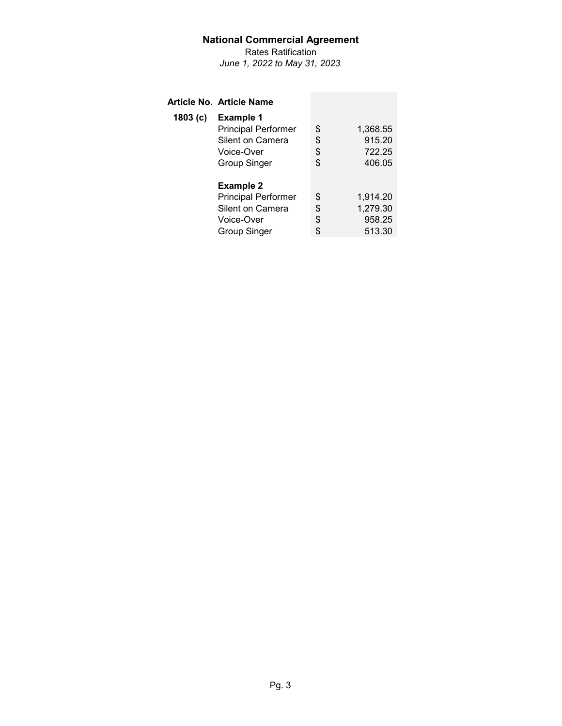Rates Ratification *June 1, 2022 to May 31, 2023*

## **Article No. Article Name**

| 1803(c) | <b>Example 1</b>           |                |
|---------|----------------------------|----------------|
|         | <b>Principal Performer</b> | \$<br>1,368.55 |
|         | Silent on Camera           | \$<br>915.20   |
|         | Voice-Over                 | \$<br>722.25   |
|         | <b>Group Singer</b>        | \$<br>406.05   |
|         |                            |                |
|         | <b>Example 2</b>           |                |
|         | <b>Principal Performer</b> | \$<br>1,914.20 |
|         | Silent on Camera           | \$<br>1,279.30 |
|         | Voice-Over                 | \$<br>958.25   |
|         | <b>Group Singer</b>        | \$<br>513.30   |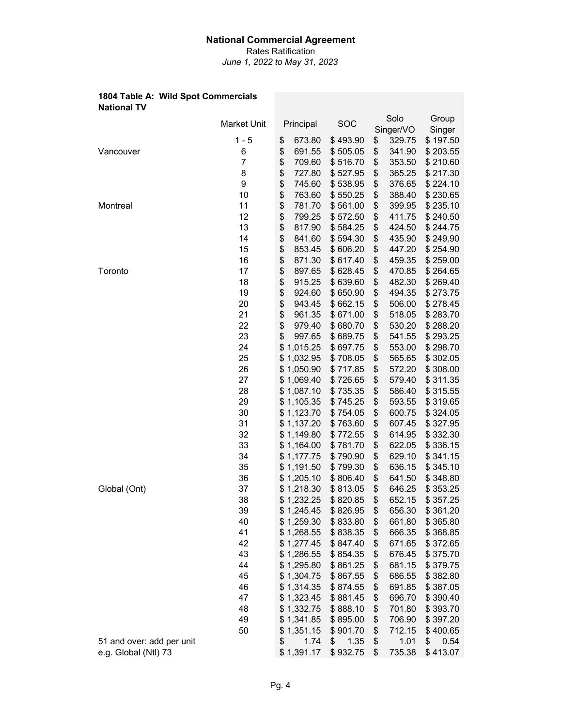Rates Ratification *June 1, 2022 to May 31, 2023*

#### **1804 Table A: Wild Spot Commercials National TV**

|                           | Market Unit | Principal    | SOC        | Solo<br>Singer/VO | Group<br>Singer |
|---------------------------|-------------|--------------|------------|-------------------|-----------------|
|                           | $1 - 5$     | \$<br>673.80 | \$493.90   | \$<br>329.75      | \$197.50        |
| Vancouver                 | 6           | \$<br>691.55 | \$505.05   | \$<br>341.90      | \$203.55        |
|                           | 7           | \$<br>709.60 | \$516.70   | \$<br>353.50      | \$210.60        |
|                           | 8           | \$<br>727.80 | \$527.95   | \$<br>365.25      | \$217.30        |
|                           | 9           | \$<br>745.60 | \$538.95   | \$<br>376.65      | \$224.10        |
|                           | 10          | \$<br>763.60 | \$550.25   | \$<br>388.40      | \$230.65        |
| Montreal                  | 11          | \$<br>781.70 | \$561.00   | \$<br>399.95      | \$235.10        |
|                           | 12          | \$<br>799.25 | \$572.50   | \$<br>411.75      | \$240.50        |
|                           | 13          | \$<br>817.90 | \$584.25   | \$<br>424.50      | \$244.75        |
|                           | 14          | \$<br>841.60 | \$594.30   | \$<br>435.90      | \$249.90        |
|                           | 15          | \$<br>853.45 | \$606.20   | \$<br>447.20      | \$254.90        |
|                           | 16          | \$<br>871.30 | \$617.40   | \$<br>459.35      | \$259.00        |
| Toronto                   | 17          | \$<br>897.65 | \$628.45   | \$<br>470.85      | \$264.65        |
|                           | 18          | \$<br>915.25 | \$639.60   | \$<br>482.30      | \$269.40        |
|                           | 19          | \$<br>924.60 | \$650.90   | \$<br>494.35      | \$273.75        |
|                           | 20          | \$<br>943.45 | \$662.15   | \$<br>506.00      | \$278.45        |
|                           | 21          | \$<br>961.35 | \$671.00   | \$<br>518.05      | \$283.70        |
|                           | 22          | \$<br>979.40 | \$680.70   | \$<br>530.20      | \$288.20        |
|                           | 23          | \$<br>997.65 | \$689.75   | \$<br>541.55      | \$293.25        |
|                           | 24          | \$1,015.25   | \$697.75   | \$<br>553.00      | \$298.70        |
|                           | 25          | \$1,032.95   | \$708.05   | \$<br>565.65      | \$302.05        |
|                           | 26          | \$1,050.90   | \$717.85   | \$<br>572.20      | \$308.00        |
|                           |             | \$1,069.40   |            |                   |                 |
|                           | 27          |              | \$726.65   | \$<br>579.40      | \$311.35        |
|                           | 28          | \$1,087.10   | \$735.35   | \$<br>586.40      | \$315.55        |
|                           | 29          | \$1,105.35   | \$745.25   | \$<br>593.55      | \$319.65        |
|                           | 30          | \$1,123.70   | \$754.05   | \$<br>600.75      | \$324.05        |
|                           | 31          | \$1,137.20   | \$763.60   | \$<br>607.45      | \$327.95        |
|                           | 32          | \$1,149.80   | \$772.55   | \$<br>614.95      | \$332.30        |
|                           | 33          | \$1,164.00   | \$781.70   | \$<br>622.05      | \$336.15        |
|                           | 34          | \$1,177.75   | \$790.90   | \$<br>629.10      | \$341.15        |
|                           | 35          | \$1,191.50   | \$799.30   | \$<br>636.15      | \$345.10        |
|                           | 36          | \$1,205.10   | \$806.40   | \$<br>641.50      | \$348.80        |
| Global (Ont)              | 37          | \$1,218.30   | \$813.05   | \$<br>646.25      | \$353.25        |
|                           | 38          | \$1,232.25   | \$820.85   | \$<br>652.15      | \$357.25        |
|                           | 39          | \$1,245.45   | \$826.95   | \$<br>656.30      | \$361.20        |
|                           | 40          | \$1,259.30   | \$833.80   | \$<br>661.80      | \$365.80        |
|                           | 41          | \$1,268.55   | \$838.35   | \$<br>666.35      | \$368.85        |
|                           | 42          | \$1,277.45   | \$847.40   | \$<br>671.65      | \$372.65        |
|                           | 43          | \$1,286.55   | \$854.35   | \$<br>676.45      | \$375.70        |
|                           | 44          | \$1,295.80   | \$861.25   | \$<br>681.15      | \$379.75        |
|                           | 45          | \$1,304.75   | \$867.55   | \$<br>686.55      | \$382.80        |
|                           | 46          | \$1,314.35   | \$874.55   | \$<br>691.85      | \$387.05        |
|                           | 47          | \$1,323.45   | \$881.45   | \$<br>696.70      | \$390.40        |
|                           | 48          | \$1,332.75   | \$888.10   | \$<br>701.80      | \$393.70        |
|                           | 49          | \$1,341.85   | \$895.00   | \$<br>706.90      | \$397.20        |
|                           | 50          | \$1,351.15   | \$901.70   | \$<br>712.15      | \$400.65        |
| 51 and over: add per unit |             | 1.74<br>\$   | 1.35<br>\$ | \$<br>1.01        | \$<br>0.54      |
| e.g. Global (Ntl) 73      |             | \$1,391.17   | \$932.75   | \$<br>735.38      | \$413.07        |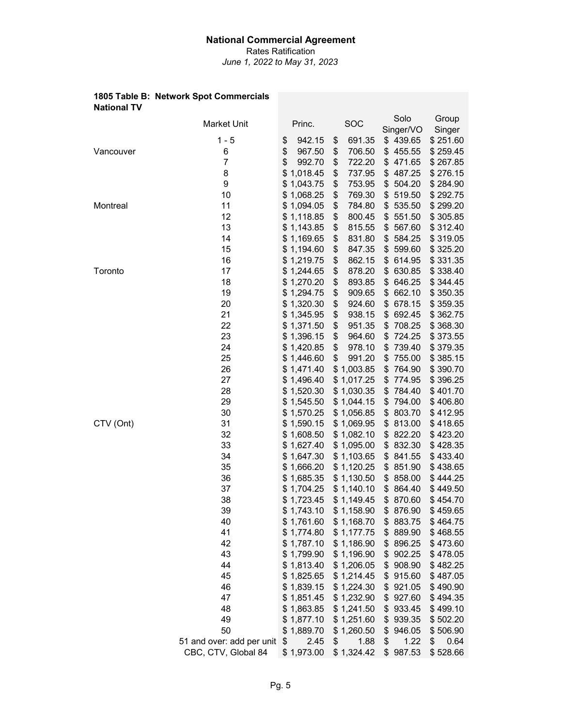Rates Ratification *June 1, 2022 to May 31, 2023*

#### **1805 Table B: Network Spot Commercials National TV**

|           | <b>Market Unit</b>        | Princ.       | SOC          | Solo<br>Singer/VO | Group<br>Singer |
|-----------|---------------------------|--------------|--------------|-------------------|-----------------|
|           | $1 - 5$                   | 942.15<br>\$ | 691.35<br>\$ | \$439.65          | \$251.60        |
| Vancouver | 6                         | \$<br>967.50 | \$<br>706.50 | 455.55<br>\$      | \$259.45        |
|           | 7                         | \$<br>992.70 | \$<br>722.20 | \$471.65          | \$267.85        |
|           | 8                         | \$1,018.45   | \$<br>737.95 | 487.25<br>\$      | \$276.15        |
|           | 9                         | \$1,043.75   | \$<br>753.95 | 504.20<br>\$      | \$284.90        |
|           | 10                        | \$1,068.25   | \$<br>769.30 | 519.50<br>\$      | \$292.75        |
| Montreal  | 11                        | \$1,094.05   | \$<br>784.80 | 535.50<br>\$      | \$299.20        |
|           | 12                        | \$1,118.85   | \$<br>800.45 | 551.50<br>\$      | \$305.85        |
|           | 13                        | \$1,143.85   | \$<br>815.55 | 567.60<br>\$      | \$312.40        |
|           | 14                        | \$1,169.65   | \$<br>831.80 | 584.25<br>\$      | \$319.05        |
|           | 15                        | \$1,194.60   | \$<br>847.35 | 599.60<br>\$      | \$325.20        |
|           | 16                        | \$1,219.75   | \$<br>862.15 | 614.95<br>\$      | \$331.35        |
| Toronto   | 17                        | \$1,244.65   | \$<br>878.20 | 630.85<br>\$      | \$338.40        |
|           | 18                        | \$1,270.20   | \$<br>893.85 | 646.25<br>\$      | \$344.45        |
|           | 19                        | \$1,294.75   | \$<br>909.65 | 662.10<br>\$      | \$350.35        |
|           | 20                        | \$1,320.30   | \$<br>924.60 | 678.15<br>\$      | \$359.35        |
|           | 21                        | \$1,345.95   | \$<br>938.15 | \$<br>692.45      | \$362.75        |
|           | 22                        | \$1,371.50   | \$<br>951.35 | \$<br>708.25      | \$368.30        |
|           | 23                        | \$1,396.15   | \$<br>964.60 | 724.25<br>\$      | \$373.55        |
|           | 24                        | \$1,420.85   | \$<br>978.10 | 739.40<br>\$      | \$379.35        |
|           | 25                        | \$1,446.60   | \$<br>991.20 | \$<br>755.00      | \$385.15        |
|           | 26                        | \$1,471.40   | \$1,003.85   | 764.90<br>\$      | \$390.70        |
|           | 27                        | \$1,496.40   | \$1,017.25   | \$<br>774.95      | \$396.25        |
|           | 28                        | \$1,520.30   | \$1,030.35   | 784.40<br>\$      | \$401.70        |
|           | 29                        | \$1,545.50   | \$1,044.15   | 794.00<br>\$      | \$406.80        |
|           | 30                        | \$1,570.25   | \$1,056.85   | \$<br>803.70      | \$412.95        |
| CTV (Ont) | 31                        | \$1,590.15   | \$1,069.95   | 813.00<br>\$      | \$418.65        |
|           | 32                        | \$1,608.50   | \$1,082.10   | 822.20<br>\$      | \$423.20        |
|           | 33                        | \$1,627.40   | \$1,095.00   | \$<br>832.30      | \$428.35        |
|           | 34                        | \$1,647.30   | \$1,103.65   | 841.55<br>\$      | \$433.40        |
|           | 35                        | \$1,666.20   | \$1,120.25   | 851.90<br>\$      | \$438.65        |
|           | 36                        | \$1,685.35   | \$1,130.50   | 858.00<br>\$      | \$444.25        |
|           | 37                        | \$1,704.25   | \$1,140.10   | \$<br>864.40      | \$449.50        |
|           | 38                        | \$1,723.45   | \$1,149.45   | \$ 870.60         | \$454.70        |
|           | 39                        | \$1,743.10   | \$1,158.90   | \$ 876.90         | \$459.65        |
|           | 40                        | \$1,761.60   | \$1,168.70   | \$ 883.75         | \$464.75        |
|           | 41                        | \$1,774.80   | \$1,177.75   | \$ 889.90         | \$468.55        |
|           | 42                        | \$1,787.10   | \$1,186.90   | \$896.25          | \$473.60        |
|           | 43                        | \$1,799.90   | \$1,196.90   | \$902.25          | \$478.05        |
|           | 44                        | \$1,813.40   | \$1,206.05   | \$908.90          | \$482.25        |
|           | 45                        | \$1,825.65   | \$1,214.45   | \$915.60          | \$487.05        |
|           | 46                        | \$1,839.15   | \$1,224.30   | \$921.05          | \$490.90        |
|           | 47                        | \$1,851.45   | \$1,232.90   | \$927.60          | \$494.35        |
|           | 48                        | \$1,863.85   | \$1,241.50   | \$933.45          | \$499.10        |
|           | 49                        | \$1,877.10   | \$1,251.60   | \$939.35          | \$502.20        |
|           | 50                        | \$1,889.70   | \$1,260.50   | 946.05<br>\$      | \$506.90        |
|           | 51 and over: add per unit | \$<br>2.45   | \$<br>1.88   | 1.22<br>\$        | \$<br>0.64      |
|           | CBC, CTV, Global 84       | \$1,973.00   | \$1,324.42   | \$987.53          | \$528.66        |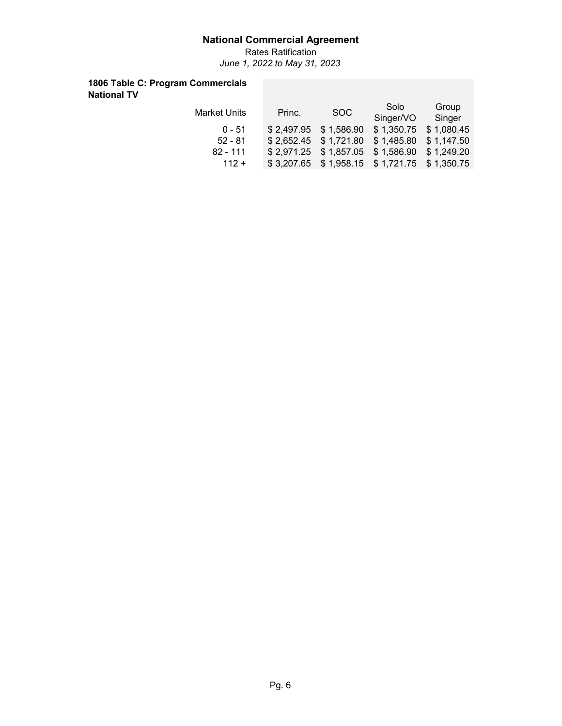Rates Ratification *June 1, 2022 to May 31, 2023*

## **1806 Table C: Program Commercials National TV**

| Market Units | Princ. | SOC                                         | Solo                    | Group  |  |  |
|--------------|--------|---------------------------------------------|-------------------------|--------|--|--|
|              |        |                                             | Singer/VO               | Singer |  |  |
| $0 - 51$     |        | $$2,497.95$ $$1,586.90$                     | $$1,350.75$ $$1,080.45$ |        |  |  |
| $52 - 81$    |        | \$2,652.45 \$1,721.80 \$1,485.80 \$1,147.50 |                         |        |  |  |
| $82 - 111$   |        | \$2,971.25 \$1,857.05 \$1,586.90 \$1,249.20 |                         |        |  |  |
| $112 +$      |        | \$3,207.65 \$1,958.15 \$1,721.75 \$1,350.75 |                         |        |  |  |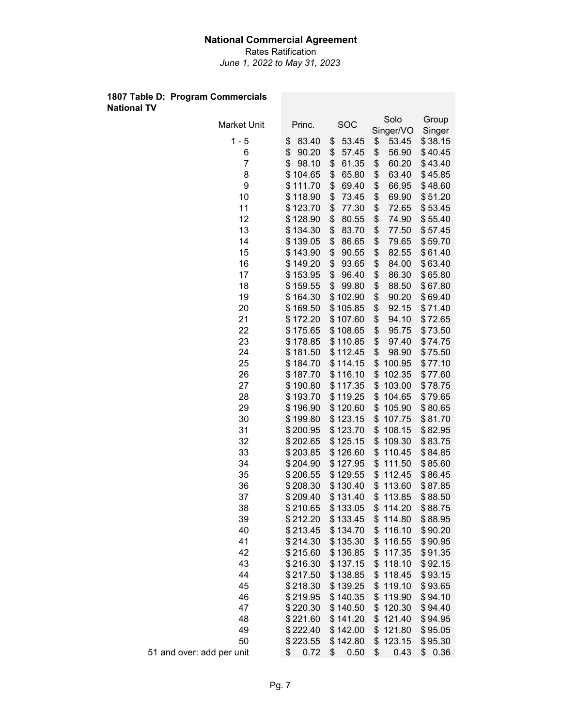Rates Ratification *June 1, 2022 to May 31, 2023*

#### **1807 Table D: Program Commercials National TV**

| Market Unit               | Princ.                     | <b>SOC</b>           | Solo                       | Group              |
|---------------------------|----------------------------|----------------------|----------------------------|--------------------|
|                           |                            |                      | Singer/VO                  | Singer             |
| $1 - 5$                   | \$<br>83.40                | 53.45<br>\$          | \$<br>53.45                | \$38.15            |
| 6<br>$\overline{7}$       | \$<br>90.20<br>\$<br>98.10 | \$<br>57.45          | \$<br>56.90                | \$40.45            |
| 8                         | \$104.65                   | \$<br>61.35<br>65.80 | \$<br>60.20<br>\$<br>63.40 | \$43.40<br>\$45.85 |
| 9                         | \$111.70                   | \$<br>\$<br>69.40    | \$<br>66.95                | \$48.60            |
| 10                        | \$118.90                   | \$<br>73.45          | \$<br>69.90                | \$51.20            |
| 11                        | \$123.70                   | \$<br>77.30          | \$<br>72.65                | \$53.45            |
| 12                        | \$128.90                   | \$<br>80.55          | \$<br>74.90                | \$55.40            |
| 13                        | \$134.30                   | \$<br>83.70          | \$<br>77.50                | \$57.45            |
| 14                        | \$139.05                   | \$<br>86.65          | \$<br>79.65                | \$59.70            |
| 15                        | \$143.90                   | \$<br>90.55          | \$<br>82.55                | \$61.40            |
| 16                        | \$149.20                   | \$<br>93.65          | \$<br>84.00                | \$63.40            |
| 17                        | \$153.95                   | \$<br>96.40          | \$<br>86.30                | \$65.80            |
| 18                        | \$159.55                   | \$<br>99.80          | \$<br>88.50                | \$67.80            |
| 19                        | \$164.30                   | \$102.90             | \$<br>90.20                | \$69.40            |
| 20                        | \$169.50                   | \$105.85             | \$<br>92.15                | \$71.40            |
| 21                        | \$172.20                   | \$107.60             | \$<br>94.10                | \$72.65            |
| 22                        | \$175.65                   | \$108.65             | \$<br>95.75                | \$73.50            |
| 23                        | \$178.85                   | \$110.85             | \$<br>97.40                | \$74.75            |
| 24                        | \$181.50                   | \$112.45             | \$<br>98.90                | \$75.50            |
| 25                        | \$184.70                   | \$114.15             | \$<br>100.95               | \$77.10            |
| 26                        | \$187.70                   | \$116.10             | \$<br>102.35               | \$77.60            |
| 27                        | \$190.80                   | \$117.35             | \$<br>103.00               | \$78.75            |
| 28                        | \$193.70                   | \$119.25             | \$<br>104.65               | \$79.65            |
| 29                        | \$196.90                   | \$120.60             | \$<br>105.90               | \$80.65            |
| 30                        | \$199.80                   | \$123.15             | \$<br>107.75               | \$81.70            |
| 31                        | \$200.95                   | \$123.70             | \$<br>108.15               | \$82.95            |
| 32                        | \$202.65                   | \$125.15             | \$<br>109.30               | \$83.75            |
| 33                        | \$203.85                   | \$126.60             | \$<br>110.45               | \$84.85            |
| 34                        | \$204.90                   | \$127.95             | \$<br>111.50               | \$85.60            |
| 35                        | \$206.55                   | \$129.55             | \$<br>112.45               | \$86.45            |
| 36                        | \$208.30                   | \$130.40             | \$<br>113.60               | \$87.85            |
| 37                        | \$209.40                   | \$131.40             | \$<br>113.85               | \$88.50            |
| 38                        | \$210.65                   | \$133.05             | \$<br>114.20               | \$88.75            |
| 39                        | \$212.20                   | \$133.45             | \$<br>114.80               | \$88.95            |
| 40                        | \$213.45                   | \$134.70             | \$<br>116.10               | \$90.20            |
| 41                        | \$214.30                   | \$135.30             | \$<br>116.55               | \$90.95            |
| 42                        | \$215.60                   | \$136.85             | \$<br>117.35               | \$91.35            |
| 43                        | \$216.30                   | \$137.15             | \$<br>118.10               | \$92.15            |
| 44                        | \$217.50                   | \$138.85             | \$<br>118.45               | \$93.15            |
| 45                        | \$218.30                   | \$139.25             | \$<br>119.10               | \$93.65            |
| 46                        | \$219.95                   | \$140.35             | \$<br>119.90               | \$94.10            |
| 47                        | \$220.30                   | \$140.50             | \$<br>120.30               | \$94.40            |
| 48                        | \$221.60                   | \$141.20             | \$<br>121.40               | \$94.95            |
| 49                        | \$222.40                   | \$142.00             | \$<br>121.80               | \$95.05            |
| 50                        | \$223.55                   | \$142.80             | \$<br>123.15               | \$95.30            |
| 51 and over: add per unit | 0.72<br>\$                 | 0.50<br>\$           | \$<br>0.43                 | \$0.36             |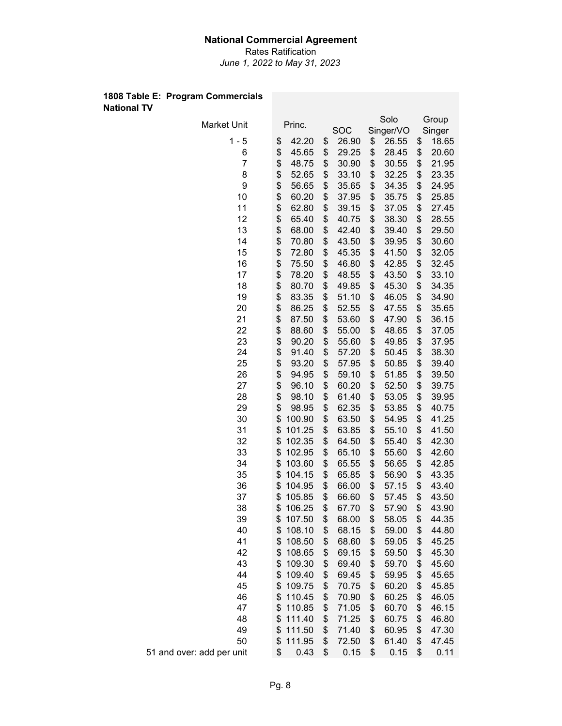Rates Ratification *June 1, 2022 to May 31, 2023*

#### **1808 Table E: Program Commercials National TV**

| Market Unit               |          | Princ.           |          | SOC            |          | Solo<br>Singer/VO |          | Group<br>Singer |
|---------------------------|----------|------------------|----------|----------------|----------|-------------------|----------|-----------------|
| $1 - 5$                   | \$       | 42.20            | \$       | 26.90          | \$       | 26.55             | \$       | 18.65           |
| 6                         | \$       | 45.65            | \$       | 29.25          | \$       | 28.45             | \$       | 20.60           |
| $\overline{7}$            | \$       | 48.75            | \$       | 30.90          | \$       | 30.55             | \$       | 21.95           |
| 8                         | \$       | 52.65            | \$       | 33.10          | \$       | 32.25             | \$       | 23.35           |
| 9                         | \$       | 56.65            | \$       | 35.65          | \$       | 34.35             | \$       | 24.95           |
| 10                        | \$       | 60.20            | \$       | 37.95          | \$       | 35.75             | \$       | 25.85           |
| 11                        | \$       | 62.80            | \$       | 39.15          | \$       | 37.05             | \$       | 27.45           |
| 12                        | \$       | 65.40            | \$       | 40.75          | \$       | 38.30             | \$       | 28.55           |
| 13                        | \$       | 68.00            | \$       | 42.40          | \$       | 39.40             | \$       | 29.50           |
| 14                        | \$       | 70.80            | \$       | 43.50          | \$       | 39.95             | \$       | 30.60           |
| 15                        | \$       | 72.80            | \$       | 45.35          | \$       | 41.50             | \$       | 32.05           |
| 16                        | \$       | 75.50            | \$       | 46.80          | \$       | 42.85             | \$       | 32.45           |
| 17                        | \$       | 78.20            | \$       | 48.55          | \$       | 43.50             | \$       | 33.10           |
| 18                        | \$       | 80.70            | \$       | 49.85          | \$       | 45.30             | \$       | 34.35           |
| 19                        | \$       | 83.35            | \$       | 51.10          | \$       | 46.05             | \$       | 34.90           |
| 20                        | \$       | 86.25            | \$       | 52.55          | \$       | 47.55             | \$       | 35.65           |
| 21                        | \$       | 87.50            | \$       | 53.60          | \$       | 47.90             | \$       | 36.15           |
| 22                        | \$       | 88.60            | \$       | 55.00          | \$       | 48.65             | \$       | 37.05           |
| 23                        | \$       | 90.20            | \$       | 55.60          | \$       | 49.85             | \$       | 37.95           |
| 24                        | \$       | 91.40            | \$       | 57.20          | \$       | 50.45             | \$       | 38.30           |
| 25                        | \$       | 93.20            | \$       | 57.95          | \$       | 50.85             | \$       | 39.40           |
| 26                        | \$       | 94.95            | \$       | 59.10          | \$       | 51.85             | \$       | 39.50           |
| 27                        | \$       | 96.10            | \$       | 60.20          | \$       | 52.50             | \$       | 39.75           |
| 28                        | \$       | 98.10            | \$       | 61.40          | \$       | 53.05             | \$       | 39.95           |
| 29                        | \$       | 98.95            | \$       | 62.35          | \$       | 53.85             | \$       | 40.75           |
| 30                        | \$       | 100.90           | \$       | 63.50          | \$       | 54.95             | \$       | 41.25           |
| 31                        | \$       | 101.25           | \$       | 63.85          | \$       | 55.10             | \$       | 41.50           |
| 32                        | \$       | 102.35           | \$       | 64.50          | \$       | 55.40             | \$       | 42.30           |
| 33                        | \$       | 102.95           | \$       | 65.10          | \$       | 55.60             | \$       | 42.60           |
| 34                        | \$       | 103.60           | \$       | 65.55          | \$       | 56.65             | \$       | 42.85           |
| 35                        | \$       | 104.15           | \$       | 65.85          | \$       | 56.90             | \$       | 43.35           |
| 36                        | \$       | 104.95           | \$       | 66.00          | \$       | 57.15             | \$       | 43.40           |
| 37                        | \$       | 105.85           | \$       | 66.60          | \$       | 57.45             | \$       | 43.50           |
| 38                        | \$       | 106.25           | \$       | 67.70          | \$       | 57.90             | \$       | 43.90           |
| 39                        | \$       | 107.50           | \$       | 68.00          | \$       | 58.05             | \$       | 44.35           |
| 40                        | \$       | 108.10           | \$       | 68.15          | \$       | 59.00             | \$       | 44.80           |
| 41                        | \$       | 108.50           | \$       | 68.60          | \$       | 59.05             | \$       | 45.25           |
| 42                        | \$       | 108.65           | \$       | 69.15          | \$       | 59.50             | \$       | 45.30           |
| 43                        | \$       | 109.30           | \$       | 69.40          | \$       | 59.70             | \$       | 45.60           |
| 44                        | \$       | 109.40           | \$       | 69.45          | \$       | 59.95             | \$       | 45.65           |
| 45                        | \$       | 109.75           | \$       | 70.75          | \$       | 60.20             | \$       | 45.85           |
| 46                        | \$       | 110.45           | \$       | 70.90          | \$       | 60.25             | \$       | 46.05           |
| 47                        | \$       | 110.85           | \$       | 71.05          | \$       | 60.70             | \$       | 46.15           |
| 48                        | \$       | 111.40           | \$       | 71.25          | \$       | 60.75             | \$       | 46.80           |
| 49<br>50                  | \$<br>\$ | 111.50<br>111.95 | \$<br>\$ | 71.40<br>72.50 | \$<br>\$ | 60.95<br>61.40    | \$<br>\$ | 47.30<br>47.45  |
| 51 and over: add per unit | \$       | 0.43             | \$       | 0.15           | \$       | 0.15              | \$       | 0.11            |
|                           |          |                  |          |                |          |                   |          |                 |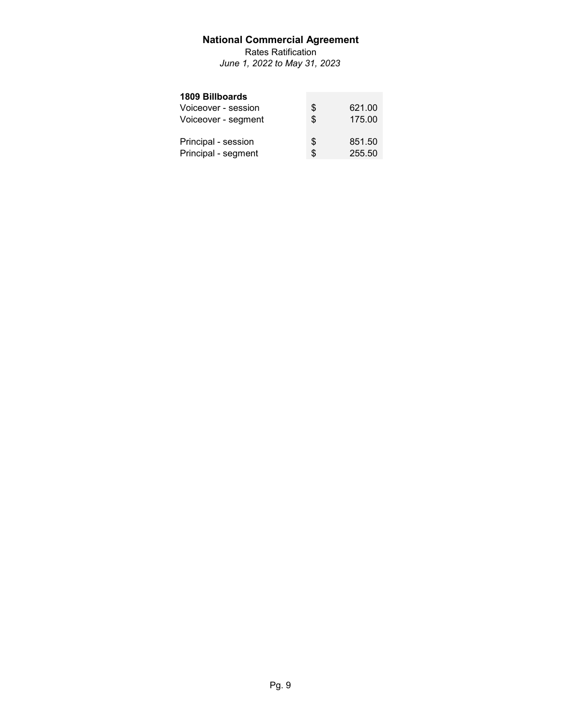Rates Ratification *June 1, 2022 to May 31, 2023*

#### **1809 Billboards**

| Voiceover - session | S  | 621.00 |
|---------------------|----|--------|
| Voiceover - segment | \$ | 175.00 |
| Principal - session | \$ | 851.50 |
| Principal - segment | \$ | 255.50 |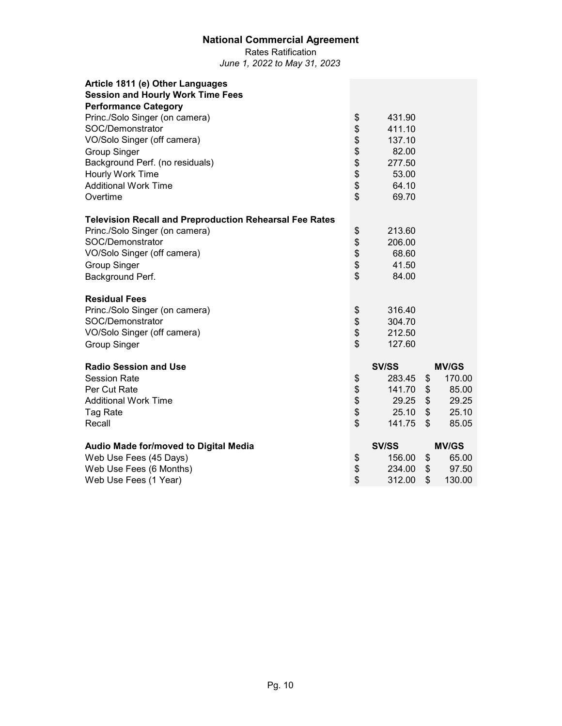Rates Ratification *June 1, 2022 to May 31, 2023*

| Article 1811 (e) Other Languages                               |          |              |              |
|----------------------------------------------------------------|----------|--------------|--------------|
| <b>Session and Hourly Work Time Fees</b>                       |          |              |              |
| <b>Performance Category</b>                                    |          |              |              |
| Princ./Solo Singer (on camera)                                 | \$       | 431.90       |              |
| SOC/Demonstrator                                               | \$       | 411.10       |              |
| VO/Solo Singer (off camera)                                    | \$       | 137.10       |              |
| <b>Group Singer</b>                                            | \$<br>\$ | 82.00        |              |
| Background Perf. (no residuals)                                |          | 277.50       |              |
| Hourly Work Time                                               | \$       | 53.00        |              |
| <b>Additional Work Time</b>                                    | \$       | 64.10        |              |
| Overtime                                                       | \$       | 69.70        |              |
| <b>Television Recall and Preproduction Rehearsal Fee Rates</b> |          |              |              |
| Princ./Solo Singer (on camera)                                 | \$       | 213.60       |              |
| SOC/Demonstrator                                               | \$       | 206.00       |              |
| VO/Solo Singer (off camera)                                    |          | 68.60        |              |
| <b>Group Singer</b>                                            | \$\$     | 41.50        |              |
| Background Perf.                                               |          | 84.00        |              |
| <b>Residual Fees</b>                                           |          |              |              |
| Princ./Solo Singer (on camera)                                 | \$       | 316.40       |              |
| SOC/Demonstrator                                               | \$       | 304.70       |              |
| VO/Solo Singer (off camera)                                    | \$       | 212.50       |              |
| <b>Group Singer</b>                                            | \$       | 127.60       |              |
| <b>Radio Session and Use</b>                                   |          | <b>SV/SS</b> | <b>MV/GS</b> |
| <b>Session Rate</b>                                            | \$       | 283.45       | \$<br>170.00 |
| Per Cut Rate                                                   |          | 141.70       | \$<br>85.00  |
| <b>Additional Work Time</b>                                    | \$\$     | 29.25        | \$<br>29.25  |
| Tag Rate                                                       |          | 25.10        | \$<br>25.10  |
| Recall                                                         | \$       | 141.75       | \$<br>85.05  |
| Audio Made for/moved to Digital Media                          |          | <b>SV/SS</b> | <b>MV/GS</b> |
| Web Use Fees (45 Days)                                         | \$       | 156.00       | \$<br>65.00  |
| Web Use Fees (6 Months)                                        | \$       | 234.00       | \$<br>97.50  |
| Web Use Fees (1 Year)                                          | \$       | 312.00       | \$<br>130.00 |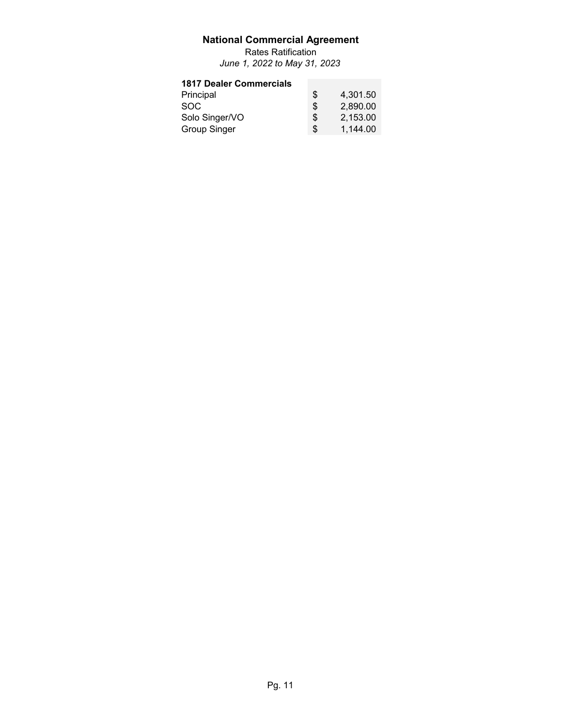Rates Ratification *June 1, 2022 to May 31, 2023*

## **1817 Dealer Commercials**

| Principal           | S   | 4,301.50 |
|---------------------|-----|----------|
| <b>SOC</b>          | \$. | 2.890.00 |
| Solo Singer/VO      | \$  | 2.153.00 |
| <b>Group Singer</b> | \$. | 1.144.00 |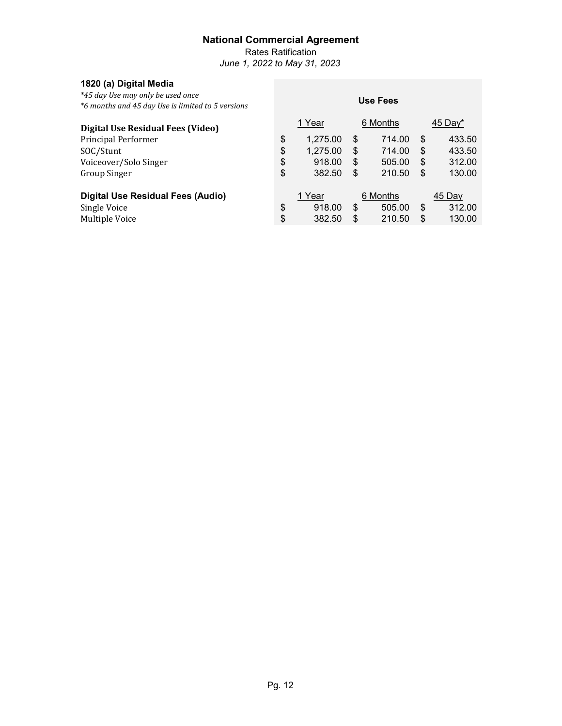Rates Ratification

**Use Fees**

*June 1, 2022 to May 31, 2023*

## **1820 (a) Digital Media**

*\*45 day Use may only be used once \*6 months and 45 day Use is limited to 5 versions*

| Digital Use Residual Fees (Video)        |    | 1 Year   |    | 6 Months | 45 Day $*$   |
|------------------------------------------|----|----------|----|----------|--------------|
| Principal Performer                      | \$ | 1,275.00 | \$ | 714.00   | \$<br>433.50 |
| SOC/Stunt                                | \$ | 1,275.00 | S  | 714.00   | \$<br>433.50 |
| Voiceover/Solo Singer                    | \$ | 918.00   | \$ | 505.00   | \$<br>312.00 |
| <b>Group Singer</b>                      | \$ | 382.50   | \$ | 210.50   | \$<br>130.00 |
| <b>Digital Use Residual Fees (Audio)</b> |    | 1 Year   |    | 6 Months | 45 Day       |
| Single Voice                             | \$ | 918.00   | \$ | 505.00   | \$<br>312.00 |
| Multiple Voice                           | \$ | 382.50   | \$ | 210.50   | \$<br>130.00 |
|                                          |    |          |    |          |              |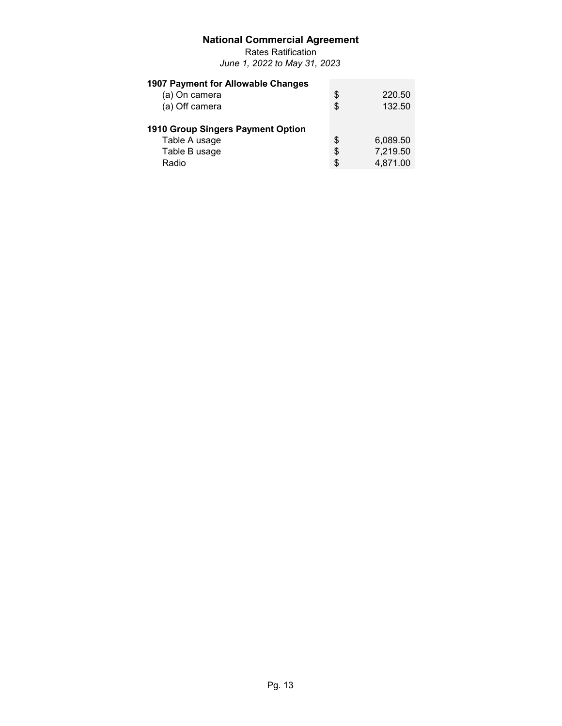Rates Ratification *June 1, 2022 to May 31, 2023*

| 1907 Payment for Allowable Changes |    |          |
|------------------------------------|----|----------|
| (a) On camera                      | \$ | 220.50   |
| (a) Off camera                     | \$ | 132.50   |
| 1910 Group Singers Payment Option  |    |          |
| Table A usage                      | \$ | 6,089.50 |
| Table B usage                      | \$ | 7,219.50 |
| Radio                              | S  | 4,871.00 |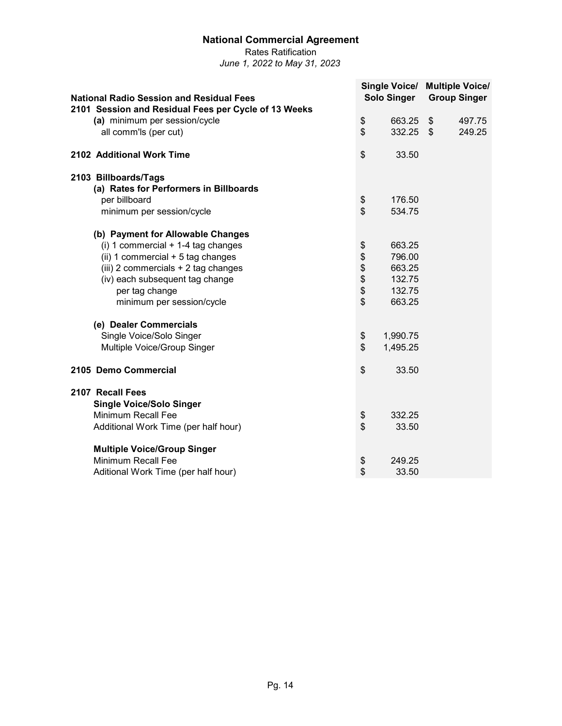Rates Ratification *June 1, 2022 to May 31, 2023*

**National Radio Session and Residual Fees Single Voice/ Multiple Voice/ Solo Singer Group Singer 2101 Session and Residual Fees per Cycle of 13 Weeks (a)** minimum per session/cycle **a 663.25** \$ 497.75 **all comm'ls (per cut) a 1** all comm'ls (per cut) **2102 Additional Work Time** \$ 33.50 **2103 Billboards/Tags (a) Rates for Performers in Billboards** per billboard <br>minimum per session/cvcle to the session of the set of the set of the set of the set of the set of the set of<br>\$ minimum per session/cycle **(b) Payment for Allowable Changes** (i) 1 commercial + 1-4 tag changes<br>
(ii) 1 commercial + 5 tag changes<br>  $\frac{1}{3}$   $\frac{1}{3}$   $\frac{663.25}{796.00}$ (ii) 1 commercial + 5 tag changes  $\frac{1}{12}$  (iii) 2 commercials + 2 tag changes  $\frac{1}{2}$   $\frac{1}{2}$   $\frac{1}{2}$   $\frac{1}{2}$   $\frac{1}{2}$   $\frac{1}{2}$   $\frac{1}{2}$   $\frac{1}{2}$   $\frac{1}{2}$   $\frac{1}{2}$   $\frac{1}{2}$   $\frac{1}{2}$   $\frac{1}{2}$   $\frac{1}{2}$  (iii) 2 commercials + 2 tag changes<br>
(iv) each subsequent tag change  $\frac{1}{32.75}$ (iv) each subsequent tag change<br>
per tag change \$ per tag change  $\frac{132.75}{\text{minimum}}$  per tag change  $\frac{132.75}{\text{minimum}}$ minimum per session/cycle  $$663.25$ **(e) Dealer Commercials** Single Voice/Solo Singer  $$ 1,990.75$ Multiple Voice/Group Singer  $$ 1,495.25$ **2105 Demo Commercial** \$ 33.50 **2107 Recall Fees Single Voice/Solo Singer** Minimum Recall Fee \$ 332.25 Additional Work Time (per half hour) **Multiple Voice/Group Singer** Minimum Recall Fee **by Contract Contract Contract Contract Contract Contract Contract Contract Contract Contract Contract Contract Contract Contract Contract Contract Contract Contract Contract Contract Contract Contract C** Aditional Work Time (per half hour)  $$33.50$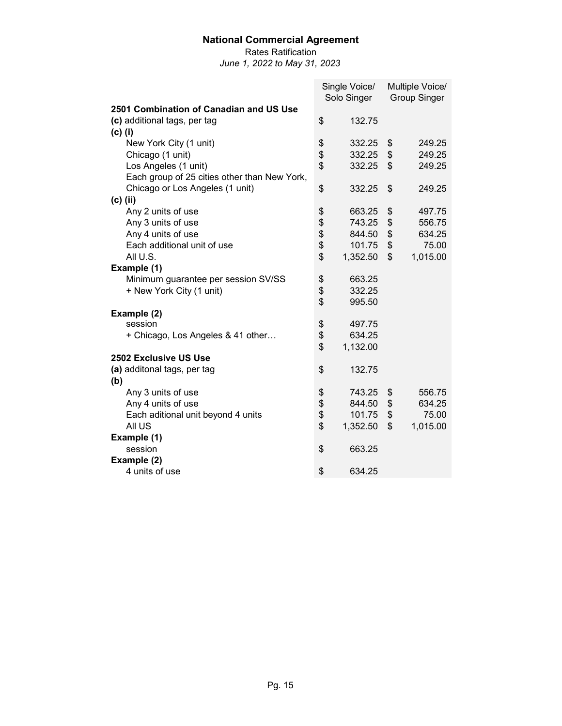Rates Ratification

|                                              | Single Voice/<br>Solo Singer |          | Multiple Voice/     |
|----------------------------------------------|------------------------------|----------|---------------------|
| 2501 Combination of Canadian and US Use      |                              |          | <b>Group Singer</b> |
| (c) additional tags, per tag                 | \$                           | 132.75   |                     |
|                                              |                              |          |                     |
| $(c)$ (i)                                    |                              |          |                     |
| New York City (1 unit)                       | \$                           | 332.25   | \$<br>249.25        |
| Chicago (1 unit)                             | \$                           | 332.25   | \$<br>249.25        |
| Los Angeles (1 unit)                         | \$                           | 332.25   | \$<br>249.25        |
| Each group of 25 cities other than New York, |                              |          |                     |
| Chicago or Los Angeles (1 unit)              | \$                           | 332.25   | \$<br>249.25        |
| $(c)$ (ii)                                   |                              |          |                     |
| Any 2 units of use                           | \$                           | 663.25   | \$<br>497.75        |
| Any 3 units of use                           | \$                           | 743.25   | \$<br>556.75        |
| Any 4 units of use                           | \$                           | 844.50   | \$<br>634.25        |
| Each additional unit of use                  | \$                           | 101.75   | \$<br>75.00         |
| All U.S.                                     | \$                           | 1,352.50 | \$<br>1,015.00      |
| Example (1)                                  |                              |          |                     |
| Minimum guarantee per session SV/SS          | \$                           | 663.25   |                     |
| + New York City (1 unit)                     | \$                           | 332.25   |                     |
|                                              | \$                           | 995.50   |                     |
| Example (2)                                  |                              |          |                     |
| session                                      | \$                           | 497.75   |                     |
| + Chicago, Los Angeles & 41 other            | \$                           | 634.25   |                     |
|                                              | \$                           | 1,132.00 |                     |
| <b>2502 Exclusive US Use</b>                 |                              |          |                     |
| (a) additonal tags, per tag                  | \$                           | 132.75   |                     |
| (b)                                          |                              |          |                     |
| Any 3 units of use                           | \$                           | 743.25   | \$<br>556.75        |
| Any 4 units of use                           | \$                           | 844.50   | \$<br>634.25        |
| Each aditional unit beyond 4 units           | \$                           | 101.75   | \$<br>75.00         |
| All US                                       | \$                           | 1,352.50 | \$<br>1,015.00      |
| Example (1)                                  |                              |          |                     |
| session                                      | \$                           | 663.25   |                     |
| Example (2)                                  |                              |          |                     |
| 4 units of use                               | \$                           | 634.25   |                     |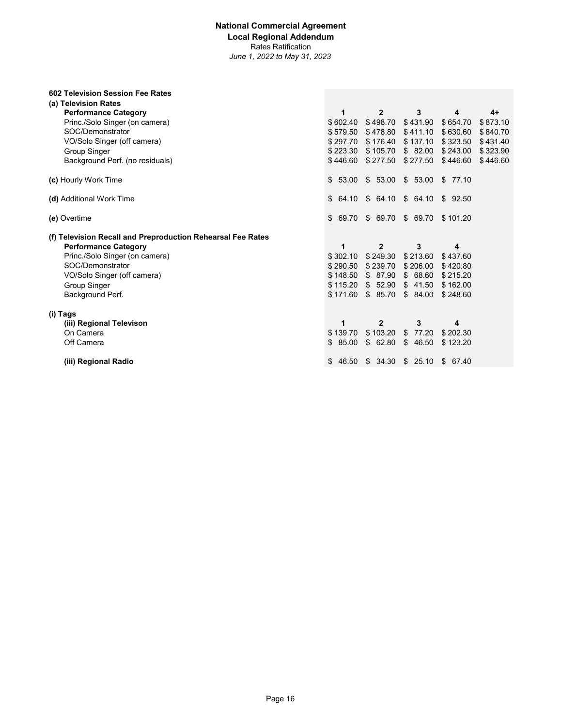#### **National Commercial Agreement Local Regional Addendum** Rates Ratification *June 1, 2022 to May 31, 2023*

| 602 Television Session Fee Rates                            |          |              |                         |          |          |
|-------------------------------------------------------------|----------|--------------|-------------------------|----------|----------|
| (a) Television Rates                                        |          |              |                         |          |          |
| <b>Performance Category</b>                                 | 1        | $\mathbf{2}$ | 3                       | 4        | $4+$     |
| Princ./Solo Singer (on camera)                              | \$602.40 | \$498.70     | \$431.90                | \$654.70 | \$873.10 |
| SOC/Demonstrator                                            | \$579.50 | \$478.80     | \$411.10                | \$630.60 | \$840.70 |
| VO/Solo Singer (off camera)                                 | \$297.70 | \$176.40     | \$137.10                | \$323.50 | \$431.40 |
| <b>Group Singer</b>                                         | \$223.30 | \$105.70     | \$82.00                 | \$243.00 | \$323.90 |
| Background Perf. (no residuals)                             | \$446.60 | \$277.50     | \$277.50                | \$446.60 | \$446.60 |
| (c) Hourly Work Time                                        | \$53.00  | \$53.00      | \$53.00                 | \$77.10  |          |
| (d) Additional Work Time                                    | \$64.10  |              | \$64.10 \$64.10 \$92.50 |          |          |
| (e) Overtime                                                | \$69.70  | \$69.70      | \$ 69.70                | \$101.20 |          |
| (f) Television Recall and Preproduction Rehearsal Fee Rates |          |              |                         |          |          |
| <b>Performance Category</b>                                 | 1        | $\mathbf{2}$ | 3                       | 4        |          |
| Princ./Solo Singer (on camera)                              | \$302.10 | \$249.30     | \$213.60                | \$437.60 |          |
|                                                             |          |              |                         |          |          |
| SOC/Demonstrator                                            | \$290.50 | \$239.70     | \$206.00                | \$420.80 |          |
| VO/Solo Singer (off camera)                                 | \$148.50 | \$87.90      | \$68.60                 | \$215.20 |          |
| Group Singer                                                | \$115.20 | \$52.90      | \$41.50                 | \$162.00 |          |
| Background Perf.                                            | \$171.60 | \$85.70      | \$84.00                 | \$248.60 |          |
| (i) Tags                                                    |          |              |                         |          |          |
| (iii) Regional Televison                                    | 1        | $\mathbf{2}$ | 3                       | 4        |          |
| On Camera                                                   | \$139.70 | \$103.20     | 77.20<br>\$             | \$202.30 |          |
| Off Camera                                                  | \$85.00  | \$62.80      | \$<br>46.50             | \$123.20 |          |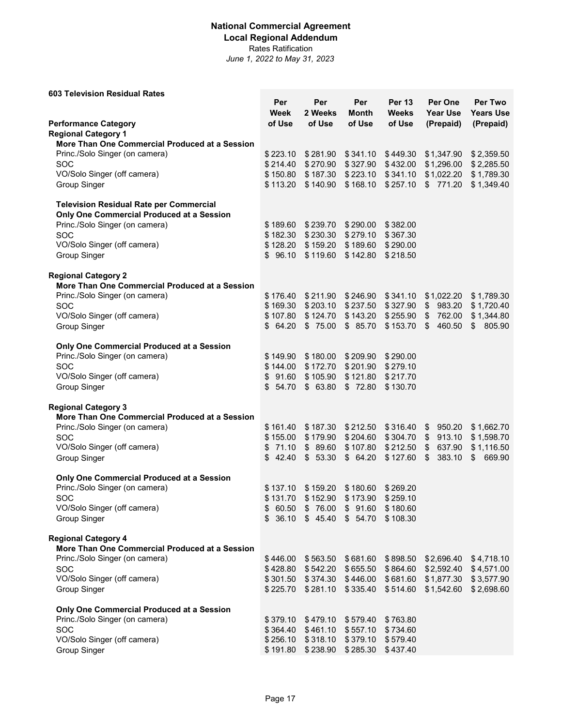## **National Commercial Agreement Local Regional Addendum**

Rates Ratification

| <b>603 Television Residual Rates</b>                                         |                      |                               |                      |                               |                                    |                             |
|------------------------------------------------------------------------------|----------------------|-------------------------------|----------------------|-------------------------------|------------------------------------|-----------------------------|
|                                                                              | Per<br>Week          | Per<br>2 Weeks                | Per<br>Month         | <b>Per 13</b><br><b>Weeks</b> | Per One<br><b>Year Use</b>         | Per Two<br><b>Years Use</b> |
| <b>Performance Category</b>                                                  | of Use               | of Use                        | of Use               | of Use                        | (Prepaid)                          | (Prepaid)                   |
| <b>Regional Category 1</b><br>More Than One Commercial Produced at a Session |                      |                               |                      |                               |                                    |                             |
| Princ./Solo Singer (on camera)                                               | \$223.10             | \$281.90                      | \$341.10             | \$449.30                      | \$1,347.90                         | \$2,359.50                  |
| <b>SOC</b>                                                                   | \$214.40             | \$270.90                      | \$327.90             | \$432.00                      | \$1,296.00                         | \$2,285.50                  |
| VO/Solo Singer (off camera)                                                  | \$150.80             | \$187.30                      | \$223.10             | \$341.10                      | \$1,022.20                         | \$1,789.30                  |
| <b>Group Singer</b>                                                          | \$113.20             | \$140.90                      | \$168.10             | \$257.10                      | \$771.20                           | \$1,349.40                  |
|                                                                              |                      |                               |                      |                               |                                    |                             |
| <b>Television Residual Rate per Commercial</b>                               |                      |                               |                      |                               |                                    |                             |
| Only One Commercial Produced at a Session                                    |                      |                               |                      |                               |                                    |                             |
| Princ./Solo Singer (on camera)<br><b>SOC</b>                                 | \$189.60             | \$239.70<br>\$182.30 \$230.30 | \$290.00<br>\$279.10 | \$382.00<br>\$367.30          |                                    |                             |
| VO/Solo Singer (off camera)                                                  | \$128.20             | \$159.20                      | \$189.60             | \$290.00                      |                                    |                             |
| <b>Group Singer</b>                                                          | \$96.10              | \$119.60                      | \$142.80             | \$218.50                      |                                    |                             |
|                                                                              |                      |                               |                      |                               |                                    |                             |
| <b>Regional Category 2</b>                                                   |                      |                               |                      |                               |                                    |                             |
| More Than One Commercial Produced at a Session                               |                      |                               |                      |                               |                                    |                             |
| Princ./Solo Singer (on camera)                                               | \$176.40             | \$211.90                      | \$246.90             | \$341.10                      | \$1,022.20                         | \$1,789.30                  |
| <b>SOC</b>                                                                   | \$169.30             | \$203.10                      | \$237.50             | \$327.90                      | 983.20<br>\$                       | \$1,720.40                  |
| VO/Solo Singer (off camera)<br><b>Group Singer</b>                           | \$107.80<br>\$64.20  | \$124.70<br>\$75.00           | \$143.20<br>\$85.70  | \$255.90<br>\$153.70          | \$<br>762.00<br><b>S</b><br>460.50 | \$1,344.80<br>\$805.90      |
|                                                                              |                      |                               |                      |                               |                                    |                             |
| Only One Commercial Produced at a Session                                    |                      |                               |                      |                               |                                    |                             |
| Princ./Solo Singer (on camera)                                               | \$149.90             | \$180.00                      | \$209.90             | \$290.00                      |                                    |                             |
| <b>SOC</b>                                                                   | \$144.00             | \$172.70                      | \$201.90             | \$279.10                      |                                    |                             |
| VO/Solo Singer (off camera)                                                  | \$91.60              | \$105.90                      | \$121.80             | \$217.70                      |                                    |                             |
| <b>Group Singer</b>                                                          | \$54.70              | \$63.80                       | \$72.80              | \$130.70                      |                                    |                             |
| <b>Regional Category 3</b>                                                   |                      |                               |                      |                               |                                    |                             |
| More Than One Commercial Produced at a Session                               |                      |                               |                      |                               |                                    |                             |
| Princ./Solo Singer (on camera)                                               | \$161.40             | \$187.30                      | \$212.50             | \$316.40                      | 950.20<br>\$                       | \$1,662.70                  |
| <b>SOC</b>                                                                   | \$155.00             | \$179.90                      | \$204.60             | \$304.70                      | 913.10<br>\$                       | \$1,598.70                  |
| VO/Solo Singer (off camera)                                                  | \$71.10              | \$89.60                       | \$107.80             | \$212.50                      | $\frac{1}{2}$<br>637.90            | \$1,116.50                  |
| <b>Group Singer</b>                                                          | \$42.40              | \$53.30                       | \$64.20              | \$127.60                      | $\sqrt{3}$<br>383.10               | \$669.90                    |
| Only One Commercial Produced at a Session                                    |                      |                               |                      |                               |                                    |                             |
| Princ./Solo Singer (on camera)                                               | \$137.10             | \$159.20                      | \$180.60             | \$269.20                      |                                    |                             |
| SOC                                                                          | \$131.70             | \$152.90                      | \$173.90             | \$259.10                      |                                    |                             |
| VO/Solo Singer (off camera)                                                  | \$<br>60.50          | \$76.00                       | \$91.60              | \$180.60                      |                                    |                             |
| <b>Group Singer</b>                                                          | \$36.10              | \$45.40                       | \$54.70              | \$108.30                      |                                    |                             |
|                                                                              |                      |                               |                      |                               |                                    |                             |
| <b>Regional Category 4</b><br>More Than One Commercial Produced at a Session |                      |                               |                      |                               |                                    |                             |
| Princ./Solo Singer (on camera)                                               | \$446.00             | \$563.50                      | \$681.60             | \$898.50                      | \$2,696.40                         | \$4,718.10                  |
| <b>SOC</b>                                                                   |                      | $$428.80$ $$542.20$           | \$655.50             |                               | \$864.60 \$2,592.40                | \$4,571.00                  |
| VO/Solo Singer (off camera)                                                  |                      | \$301.50 \$374.30             | \$446.00             |                               | \$681.60 \$1,877.30                | \$3,577.90                  |
| <b>Group Singer</b>                                                          |                      | \$225.70 \$281.10             | \$335.40             | \$514.60                      | \$1,542.60                         | \$2,698.60                  |
|                                                                              |                      |                               |                      |                               |                                    |                             |
| Only One Commercial Produced at a Session                                    |                      |                               |                      |                               |                                    |                             |
| Princ./Solo Singer (on camera)<br>SOC                                        | \$379.10<br>\$364.40 | \$479.10<br>\$461.10          | \$579.40<br>\$557.10 | \$763.80<br>\$734.60          |                                    |                             |
| VO/Solo Singer (off camera)                                                  |                      | \$256.10 \$318.10             | \$379.10             | \$579.40                      |                                    |                             |
| <b>Group Singer</b>                                                          | \$191.80             | \$238.90                      | \$285.30             | \$437.40                      |                                    |                             |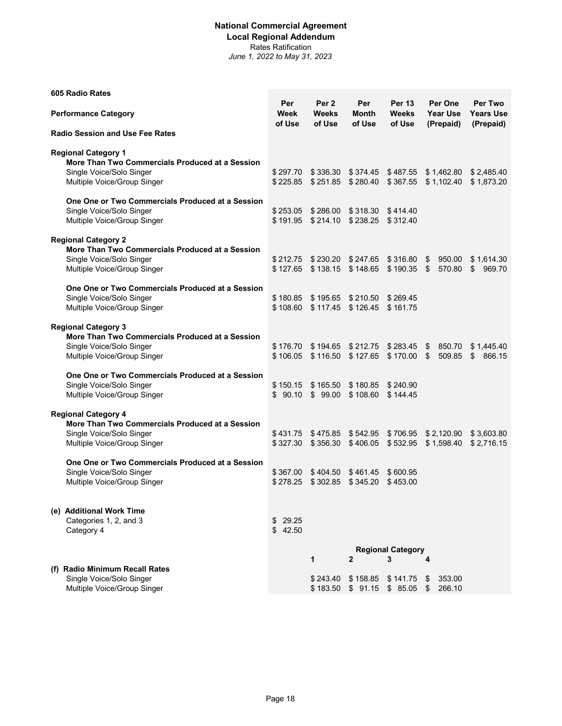#### **National Commercial Agreement Local Regional Addendum** Rates Ratification

| 605 Radio Rates                                                                                                                          |                        |                                            |                        |                                  |                                         |                                          |
|------------------------------------------------------------------------------------------------------------------------------------------|------------------------|--------------------------------------------|------------------------|----------------------------------|-----------------------------------------|------------------------------------------|
| <b>Performance Category</b>                                                                                                              | Per<br>Week<br>of Use  | Per <sub>2</sub><br><b>Weeks</b><br>of Use | Per<br>Month<br>of Use | <b>Per 13</b><br>Weeks<br>of Use | Per One<br><b>Year Use</b><br>(Prepaid) | Per Two<br><b>Years Use</b><br>(Prepaid) |
| <b>Radio Session and Use Fee Rates</b>                                                                                                   |                        |                                            |                        |                                  |                                         |                                          |
| <b>Regional Category 1</b><br>More Than Two Commercials Produced at a Session<br>Single Voice/Solo Singer<br>Multiple Voice/Group Singer | \$297.70<br>\$225.85   | \$336.30<br>\$251.85                       | \$374.45<br>\$280.40   | \$487.55<br>\$367.55             | \$1,462.80<br>\$1.102.40                | \$2,485.40<br>\$1,873.20                 |
| One One or Two Commercials Produced at a Session<br>Single Voice/Solo Singer<br>Multiple Voice/Group Singer                              | \$253.05<br>\$191.95   | \$286.00<br>\$214.10                       | \$238.25               | \$318.30 \$414.40<br>\$312.40    |                                         |                                          |
| <b>Regional Category 2</b><br>More Than Two Commercials Produced at a Session<br>Single Voice/Solo Singer<br>Multiple Voice/Group Singer | \$212.75<br>\$127.65   | \$230.20<br>\$138.15                       | \$247.65<br>\$148.65   | \$316.80<br>\$190.35             | \$<br>950.00<br>570.80<br>\$            | \$1,614.30<br>\$<br>969.70               |
| One One or Two Commercials Produced at a Session<br>Single Voice/Solo Singer<br>Multiple Voice/Group Singer                              | \$108.60               | \$180.85 \$195.65<br>\$117.45              | \$210.50<br>\$126.45   | \$269.45<br>\$161.75             |                                         |                                          |
| <b>Regional Category 3</b><br>More Than Two Commercials Produced at a Session<br>Single Voice/Solo Singer<br>Multiple Voice/Group Singer | \$176.70               | \$194.65<br>\$106.05 \$116.50              | \$212.75<br>\$127.65   | \$283.45<br>\$170.00             | \$<br>850.70<br>\$<br>509.85            | \$1,445.40<br>\$<br>866.15               |
| One One or Two Commercials Produced at a Session<br>Single Voice/Solo Singer<br>Multiple Voice/Group Singer                              | \$150.15<br>\$90.10    | \$165.50<br>\$99.00                        | \$180.85<br>\$108.60   | \$240.90<br>\$144.45             |                                         |                                          |
| <b>Regional Category 4</b><br>More Than Two Commercials Produced at a Session<br>Single Voice/Solo Singer<br>Multiple Voice/Group Singer | \$431.75<br>\$327.30   | \$475.85<br>\$356.30                       | \$542.95<br>\$406.05   | \$706.95<br>\$532.95             | \$2,120.90<br>\$1,598.40                | \$3,603.80<br>\$2,716.15                 |
| One One or Two Commercials Produced at a Session<br>Single Voice/Solo Singer<br>Multiple Voice/Group Singer                              | \$367.00<br>\$278.25   | \$404.50<br>\$302.85                       | \$461.45<br>\$345.20   | \$600.95<br>\$453.00             |                                         |                                          |
| (e) Additional Work Time<br>Categories 1, 2, and 3<br>Category 4                                                                         | 29.25<br>\$<br>\$42.50 |                                            |                        |                                  |                                         |                                          |
|                                                                                                                                          |                        | 1                                          | $\mathbf{2}$           | <b>Regional Category</b><br>3    | 4                                       |                                          |
| (f) Radio Minimum Recall Rates<br>Single Voice/Solo Singer<br>Multiple Voice/Group Singer                                                |                        | \$243.40<br>\$183.50                       | \$158.85<br>\$91.15    | \$141.75<br>\$85.05              | 353.00<br>\$<br>266.10<br>\$            |                                          |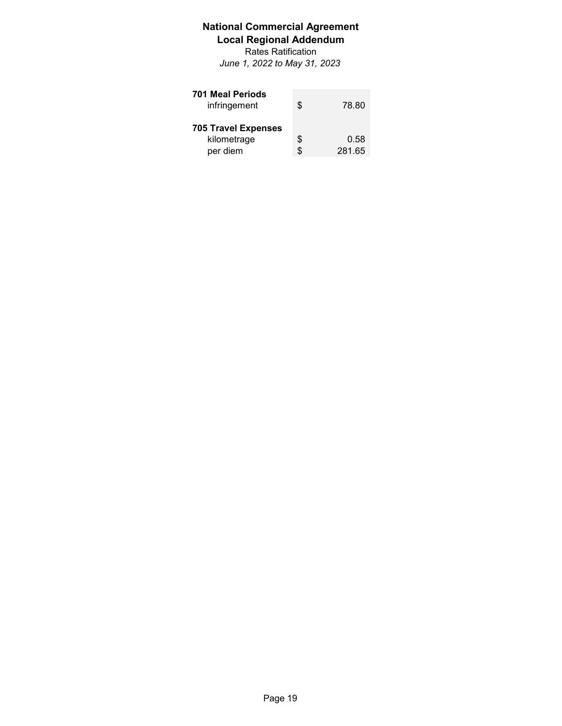# **National Commercial Agreement Local Regional Addendum**

Rates Ratification *June 1, 2022 to May 31, 2023*

| <b>701 Meal Periods</b><br>infringement               | \$       | 78.80          |
|-------------------------------------------------------|----------|----------------|
| <b>705 Travel Expenses</b><br>kilometrage<br>per diem | \$<br>\$ | 0.58<br>281.65 |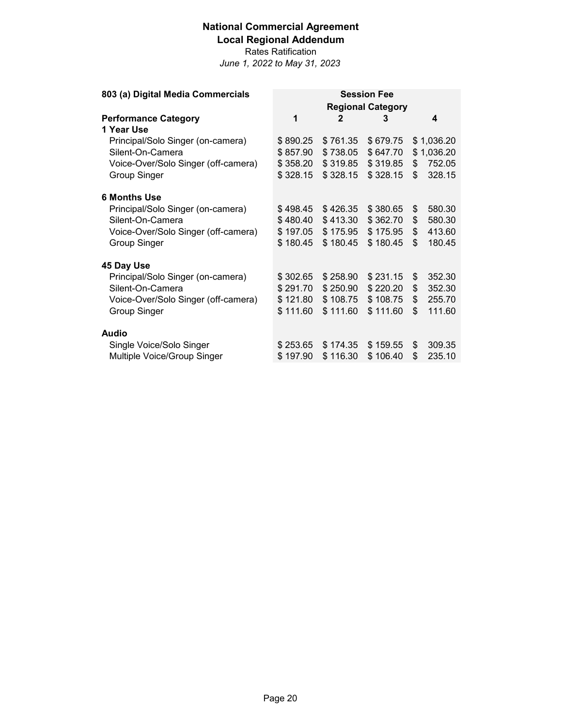# **National Commercial Agreement Local Regional Addendum**

Rates Ratification

| 803 (a) Digital Media Commercials   | <b>Session Fee</b>       |          |          |    |            |  |  |
|-------------------------------------|--------------------------|----------|----------|----|------------|--|--|
|                                     | <b>Regional Category</b> |          |          |    |            |  |  |
| <b>Performance Category</b>         | 1                        | 2        | 3        |    | 4          |  |  |
| 1 Year Use                          |                          |          |          |    |            |  |  |
| Principal/Solo Singer (on-camera)   | \$890.25                 | \$761.35 | \$679.75 |    | \$1,036.20 |  |  |
| Silent-On-Camera                    | \$857.90                 | \$738.05 | \$647.70 |    | \$1,036.20 |  |  |
| Voice-Over/Solo Singer (off-camera) | \$358.20                 | \$319.85 | \$319.85 | \$ | 752.05     |  |  |
| <b>Group Singer</b>                 | \$328.15                 | \$328.15 | \$328.15 | \$ | 328.15     |  |  |
| <b>6 Months Use</b>                 |                          |          |          |    |            |  |  |
| Principal/Solo Singer (on-camera)   | \$498.45                 | \$426.35 | \$380.65 | \$ | 580.30     |  |  |
| Silent-On-Camera                    | \$480.40                 | \$413.30 | \$362.70 | \$ | 580.30     |  |  |
| Voice-Over/Solo Singer (off-camera) | \$197.05                 | \$175.95 | \$175.95 | \$ | 413.60     |  |  |
| <b>Group Singer</b>                 | \$180.45                 | \$180.45 | \$180.45 | \$ | 180.45     |  |  |
| 45 Day Use                          |                          |          |          |    |            |  |  |
| Principal/Solo Singer (on-camera)   | \$302.65                 | \$258.90 | \$231.15 | \$ | 352.30     |  |  |
| Silent-On-Camera                    | \$291.70                 | \$250.90 | \$220.20 | \$ | 352.30     |  |  |
| Voice-Over/Solo Singer (off-camera) | \$121.80                 | \$108.75 | \$108.75 | \$ | 255.70     |  |  |
| <b>Group Singer</b>                 | \$111.60                 | \$111.60 | \$111.60 | \$ | 111.60     |  |  |
| <b>Audio</b>                        |                          |          |          |    |            |  |  |
| Single Voice/Solo Singer            | \$253.65                 | \$174.35 | \$159.55 | \$ | 309.35     |  |  |
| Multiple Voice/Group Singer         | \$197.90                 | \$116.30 | \$106.40 | \$ | 235.10     |  |  |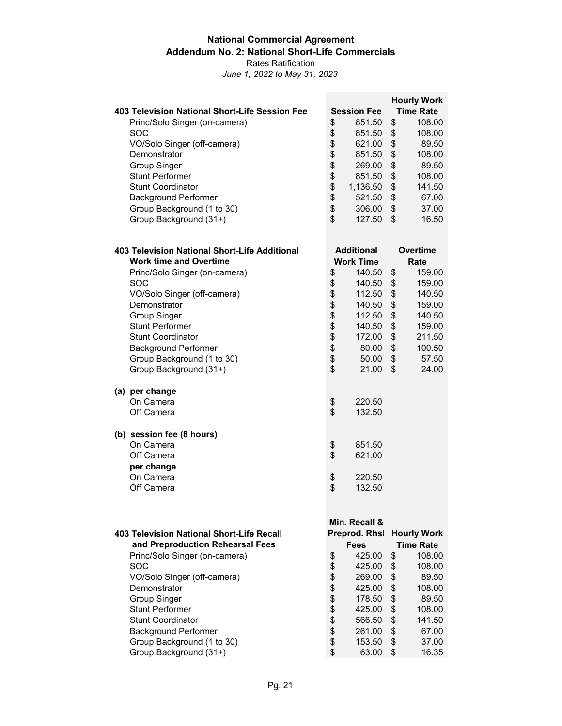#### **National Commercial Agreement Addendum No. 2: National Short-Life Commercials** Rates Ratification

|                                                                                      |                    |                                |    | <b>Hourly Work</b>                     |  |
|--------------------------------------------------------------------------------------|--------------------|--------------------------------|----|----------------------------------------|--|
| 403 Television National Short-Life Session Fee                                       | <b>Session Fee</b> |                                |    |                                        |  |
| Princ/Solo Singer (on-camera)                                                        | \$                 | 851.50                         | \$ | 108.00                                 |  |
| SOC                                                                                  | \$                 | 851.50                         | \$ | 108.00                                 |  |
| VO/Solo Singer (off-camera)                                                          | \$                 | 621.00                         | \$ | 89.50                                  |  |
| Demonstrator                                                                         | \$                 | 851.50                         | \$ | 108.00                                 |  |
| <b>Group Singer</b>                                                                  | \$                 | 269.00                         | \$ | 89.50                                  |  |
| <b>Stunt Performer</b>                                                               | \$                 | 851.50                         | \$ | 108.00                                 |  |
| <b>Stunt Coordinator</b>                                                             | \$                 | 1,136.50                       | \$ | 141.50                                 |  |
| <b>Background Performer</b>                                                          | \$                 | 521.50                         | \$ | 67.00                                  |  |
| Group Background (1 to 30)                                                           | \$                 | 306.00                         | \$ | 37.00                                  |  |
| Group Background (31+)                                                               | \$                 | 127.50                         | \$ | 16.50                                  |  |
| 403 Television National Short-Life Additional                                        |                    | <b>Additional</b>              |    | <b>Overtime</b>                        |  |
| <b>Work time and Overtime</b>                                                        |                    | <b>Work Time</b>               |    | Rate                                   |  |
| Princ/Solo Singer (on-camera)                                                        | \$                 | 140.50                         | \$ | 159.00                                 |  |
| SOC                                                                                  | \$                 | 140.50                         | \$ | 159.00                                 |  |
| VO/Solo Singer (off-camera)                                                          | \$\$\$\$\$         | 112.50                         | \$ | 140.50                                 |  |
| Demonstrator                                                                         |                    | 140.50                         | \$ | 159.00                                 |  |
| <b>Group Singer</b>                                                                  |                    | 112.50                         | \$ | 140.50                                 |  |
| <b>Stunt Performer</b>                                                               |                    | 140.50                         | \$ | 159.00                                 |  |
| <b>Stunt Coordinator</b>                                                             |                    | 172.00                         | \$ | 211.50                                 |  |
| <b>Background Performer</b>                                                          | \$                 | 80.00                          | \$ | 100.50                                 |  |
| Group Background (1 to 30)                                                           | \$                 | 50.00                          | \$ | 57.50                                  |  |
| Group Background (31+)                                                               | \$                 | 21.00                          | \$ | 24.00                                  |  |
| (a) per change                                                                       |                    |                                |    |                                        |  |
| On Camera                                                                            | \$                 | 220.50                         |    |                                        |  |
| Off Camera                                                                           | \$                 | 132.50                         |    |                                        |  |
| (b) session fee (8 hours)                                                            |                    |                                |    |                                        |  |
| On Camera                                                                            | \$                 | 851.50                         |    |                                        |  |
| Off Camera                                                                           | \$                 | 621.00                         |    |                                        |  |
| per change                                                                           |                    |                                |    |                                        |  |
| On Camera                                                                            | \$                 | 220.50                         |    |                                        |  |
| Off Camera                                                                           | \$                 | 132.50                         |    |                                        |  |
|                                                                                      |                    |                                |    |                                        |  |
|                                                                                      |                    | Min. Recall &<br>Preprod. Rhsl |    |                                        |  |
| <b>403 Television National Short-Life Recall</b><br>and Preproduction Rehearsal Fees |                    | <b>Fees</b>                    |    | <b>Hourly Work</b><br><b>Time Rate</b> |  |
| Princ/Solo Singer (on-camera)                                                        |                    | 425.00                         | \$ | 108.00                                 |  |
| SOC                                                                                  | \$<br>\$           | 425.00                         | \$ | 108.00                                 |  |
| VO/Solo Singer (off-camera)                                                          | \$                 | 269.00                         | \$ | 89.50                                  |  |
| Demonstrator                                                                         | \$                 | 425.00                         | \$ | 108.00                                 |  |
| <b>Group Singer</b>                                                                  | \$                 | 178.50                         | \$ | 89.50                                  |  |
| <b>Stunt Performer</b>                                                               | \$                 | 425.00                         | \$ | 108.00                                 |  |
| <b>Stunt Coordinator</b>                                                             | \$                 | 566.50                         | \$ | 141.50                                 |  |
| <b>Background Performer</b>                                                          | \$                 | 261.00                         | \$ | 67.00                                  |  |
| Group Background (1 to 30)                                                           | \$                 | 153.50                         | \$ | 37.00                                  |  |
| Group Background (31+)                                                               | \$                 | 63.00                          | \$ | 16.35                                  |  |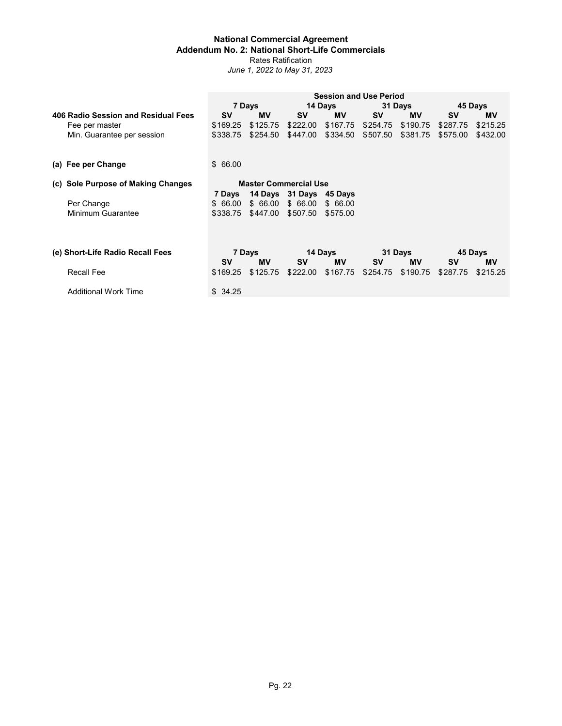#### **National Commercial Agreement Addendum No. 2: National Short-Life Commercials** Rates Ratification *June 1, 2022 to May 31, 2023*

|                                     |           |                              |                         | <b>Session and Use Period</b> |           |           |           |           |  |
|-------------------------------------|-----------|------------------------------|-------------------------|-------------------------------|-----------|-----------|-----------|-----------|--|
|                                     |           | 7 Days                       |                         | 14 Days                       |           | 31 Days   | 45 Days   |           |  |
| 406 Radio Session and Residual Fees | <b>SV</b> | <b>MV</b>                    | <b>SV</b>               | <b>MV</b>                     | <b>SV</b> | <b>MV</b> | <b>SV</b> | <b>MV</b> |  |
| Fee per master                      | \$169.25  | \$125.75                     | \$222.00                | \$167.75                      | \$254.75  | \$190.75  | \$287.75  | \$215.25  |  |
| Min. Guarantee per session          | \$338.75  | \$254.50                     | \$447.00                | \$334.50                      | \$507.50  | \$381.75  | \$575.00  | \$432.00  |  |
| (a) Fee per Change                  | \$66.00   |                              |                         |                               |           |           |           |           |  |
|                                     |           |                              |                         |                               |           |           |           |           |  |
| (c) Sole Purpose of Making Changes  |           | <b>Master Commercial Use</b> |                         |                               |           |           |           |           |  |
|                                     | 7 Days    |                              | 14 Days 31 Days 45 Days |                               |           |           |           |           |  |
| Per Change                          | \$66.00   | \$66.00                      | \$66.00                 | \$66.00                       |           |           |           |           |  |
| Minimum Guarantee                   | \$338.75  | \$447.00                     | \$507.50                | \$575.00                      |           |           |           |           |  |
|                                     |           |                              |                         |                               |           |           |           |           |  |
| (e) Short-Life Radio Recall Fees    |           | 7 Days                       |                         | 14 Days                       | 31 Days   |           | 45 Days   |           |  |
|                                     | <b>SV</b> | <b>MV</b>                    | <b>SV</b>               | <b>MV</b>                     | <b>SV</b> | MV        | <b>SV</b> | ΜV        |  |
| <b>Recall Fee</b>                   | \$169.25  | \$125.75                     | \$222.00                | \$167.75                      | \$254.75  | \$190.75  | \$287.75  | \$215.25  |  |

Additional Work Time  $$34.25$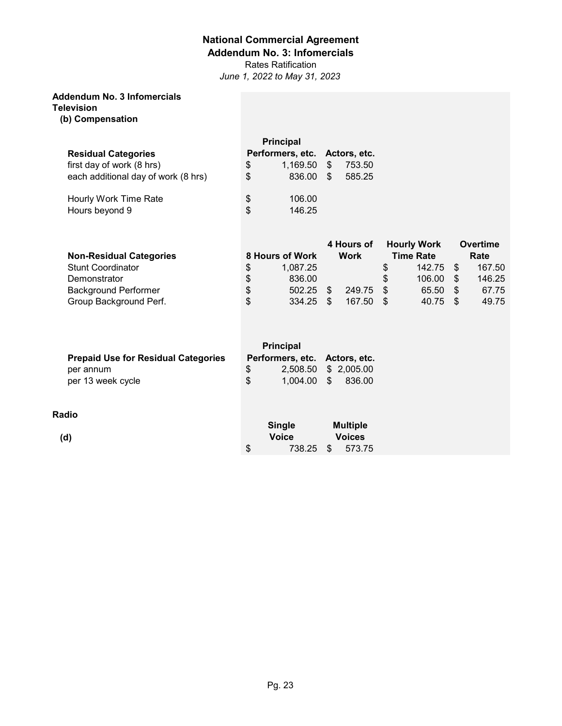### **Addendum No. 3: Infomercials**

Rates Ratification

*June 1, 2022 to May 31, 2023*

## **Addendum No. 3 Infomercials**

**Television**

**(b) Compensation**

|                                     | <b>Principal</b>              |            |        |
|-------------------------------------|-------------------------------|------------|--------|
| <b>Residual Categories</b>          | Performers, etc. Actors, etc. |            |        |
| first day of work (8 hrs)           | \$<br>1,169.50                | \$         | 753.50 |
| each additional day of work (8 hrs) | \$<br>836.00                  | $\cdot$ \$ | 585.25 |
| Hourly Work Time Rate               | \$<br>106.00                  |            |        |
| Hours beyond 9                      | \$<br>146.25                  |            |        |

| <b>Non-Residual Categories</b> |    | 8 Hours of Work |     | 4 Hours of<br>Work |      | <b>Hourly Work</b><br><b>Time Rate</b> |      | Overtime<br>Rate |
|--------------------------------|----|-----------------|-----|--------------------|------|----------------------------------------|------|------------------|
| <b>Stunt Coordinator</b>       | S  | 1.087.25        |     |                    | \$   | 142.75                                 | - \$ | 167.50           |
| Demonstrator                   | \$ | 836.00          |     |                    | \$.  | 106.00                                 | - \$ | 146.25           |
| <b>Background Performer</b>    | \$ | 502.25          | \$. | 249.75             | - \$ | 65.50                                  | - \$ | 67.75            |
| Group Background Perf.         | \$ | 334.25          | \$. | 167.50             | - \$ | 40.75                                  | - \$ | 49.75            |

| <b>Prepaid Use for Residual Categories</b> | <b>Principal</b><br>Performers, etc. Actors, etc. |                                  |          |        |
|--------------------------------------------|---------------------------------------------------|----------------------------------|----------|--------|
| per annum<br>per 13 week cycle             | S.<br>\$                                          | 2,508.50 \$ 2,005.00<br>1.004.00 | <b>S</b> | 836.00 |

### **Radio**

**(d)**

|    | Single<br><b>Voice</b> | <b>Multiple</b><br><b>Voices</b> |        |  |  |
|----|------------------------|----------------------------------|--------|--|--|
| \$ | 738.25                 | - SS                             | 573.75 |  |  |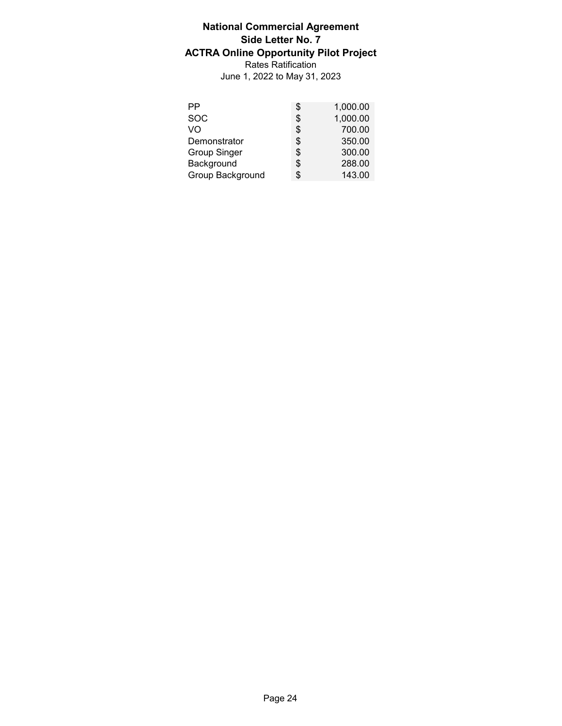## **National Commercial Agreement Side Letter No. 7 ACTRA Online Opportunity Pilot Project** Rates Ratification June 1, 2022 to May 31, 2023

| РP                  | S   | 1,000.00 |
|---------------------|-----|----------|
| <b>SOC</b>          | S   | 1,000.00 |
| VO                  | S   | 700.00   |
| Demonstrator        | \$. | 350.00   |
| <b>Group Singer</b> | S.  | 300.00   |
| Background          | S   | 288.00   |
| Group Background    |     | 143.00   |